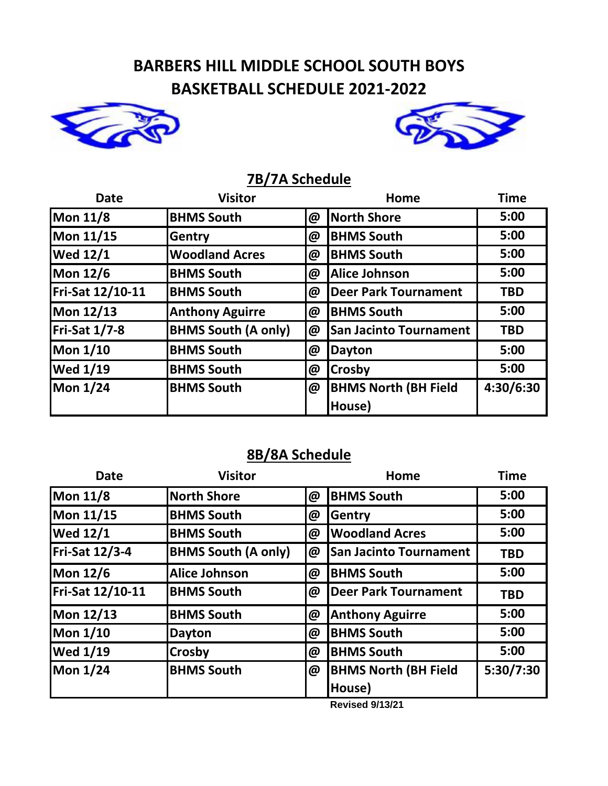## **BARBERS HILL MIDDLE SCHOOL SOUTH BOYS BASKETBALL SCHEDULE 2021-2022**





## **7B/7A Schedule**

| <b>Date</b>          | <b>Visitor</b>             |   | Home                          | <b>Time</b> |
|----------------------|----------------------------|---|-------------------------------|-------------|
| Mon 11/8             | <b>BHMS South</b>          | @ | North Shore                   | 5:00        |
| Mon 11/15            | Gentry                     | @ | <b>BHMS South</b>             | 5:00        |
| <b>Wed 12/1</b>      | <b>Woodland Acres</b>      | @ | <b>BHMS South</b>             | 5:00        |
| Mon 12/6             | <b>BHMS South</b>          | @ | Alice Johnson                 | 5:00        |
| Fri-Sat 12/10-11     | <b>BHMS South</b>          | @ | Deer Park Tournament          | <b>TBD</b>  |
| Mon 12/13            | <b>Anthony Aguirre</b>     | @ | <b>BHMS South</b>             | 5:00        |
| <b>Fri-Sat 1/7-8</b> | <b>BHMS South (A only)</b> | @ | <b>San Jacinto Tournament</b> | <b>TBD</b>  |
| Mon 1/10             | <b>BHMS South</b>          | @ | Dayton                        | 5:00        |
| <b>Wed 1/19</b>      | <b>BHMS South</b>          | @ | <b>Crosby</b>                 | 5:00        |
| Mon 1/24             | <b>BHMS South</b>          | @ | <b>BHMS North (BH Field</b>   | 4:30/6:30   |
|                      |                            |   | House)                        |             |

## **8B/8A Schedule**

| <b>Date</b>      | <b>Visitor</b>             |          | Home                                  | <b>Time</b> |
|------------------|----------------------------|----------|---------------------------------------|-------------|
| Mon 11/8         | <b>North Shore</b>         | $\omega$ | <b>BHMS South</b>                     | 5:00        |
| Mon 11/15        | <b>BHMS South</b>          | @        | Gentry                                | 5:00        |
| <b>Wed 12/1</b>  | <b>BHMS South</b>          | @        | <b>Woodland Acres</b>                 | 5:00        |
| Fri-Sat 12/3-4   | <b>BHMS South (A only)</b> | @        | <b>San Jacinto Tournament</b>         | <b>TBD</b>  |
| Mon 12/6         | <b>Alice Johnson</b>       | $\omega$ | <b>BHMS South</b>                     | 5:00        |
| Fri-Sat 12/10-11 | <b>BHMS South</b>          | @        | <b>Deer Park Tournament</b>           | <b>TBD</b>  |
| Mon 12/13        | <b>BHMS South</b>          | @        | <b>Anthony Aguirre</b>                | 5:00        |
| Mon 1/10         | <b>Dayton</b>              | @        | <b>BHMS South</b>                     | 5:00        |
| <b>Wed 1/19</b>  | <b>Crosby</b>              | @        | <b>BHMS South</b>                     | 5:00        |
| Mon 1/24         | <b>BHMS South</b>          | @        | <b>BHMS North (BH Field</b><br>House) | 5:30/7:30   |

**Revised 9/13/21**